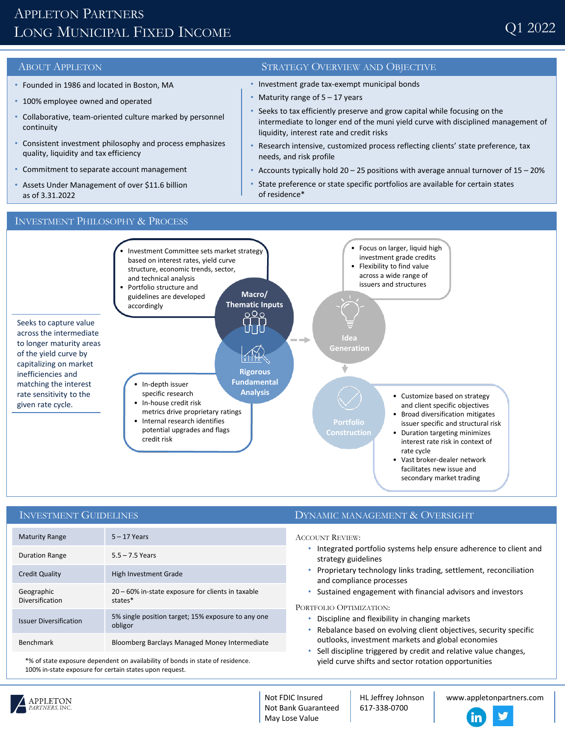# APPLETON PARTNERS LONG MUNICIPAL FIXED INCOME

- Founded in 1986 and located in Boston, MA
- 100% employee owned and operated
- Collaborative, team-oriented culture marked by personnel continuity
- Consistent investment philosophy and process emphasizes quality, liquidity and tax efficiency
- Commitment to separate account management
- Assets Under Management of over \$11.6 billion as of 3.31.2022

## ABOUT APPLETON STRATEGY OVERVIEW AND OBJECTIVE

- Investment grade tax-exempt municipal bonds
- Maturity range of  $5 17$  years
- Seeks to tax efficiently preserve and grow capital while focusing on the intermediate to longer end of the muni yield curve with disciplined management of liquidity, interest rate and credit risks
- Research intensive, customized process reflecting clients' state preference, tax needs, and risk profile
- Accounts typically hold  $20 25$  positions with average annual turnover of  $15 20\%$
- State preference or state specific portfolios are available for certain states of residence\*

### INVESTMENT PHILOSOPHY & PROCESS



### INVESTMENT GUIDELINES

| <b>Maturity Range</b>         | $5 - 17$ Years                                                |
|-------------------------------|---------------------------------------------------------------|
| <b>Duration Range</b>         | $5.5 - 7.5$ Years                                             |
| <b>Credit Quality</b>         | High Investment Grade                                         |
| Geographic<br>Diversification | 20 - 60% in-state exposure for clients in taxable<br>states*  |
| <b>Issuer Diversification</b> | 5% single position target; 15% exposure to any one<br>obligor |
| <b>Benchmark</b>              | Bloomberg Barclays Managed Money Intermediate                 |

\*% of state exposure dependent on availability of bonds in state of residence. 100% in-state exposure for certain states upon request.

### DYNAMIC MANAGEMENT & OVERSIGHT

ACCOUNT REVIEW:

- Integrated portfolio systems help ensure adherence to client and strategy guidelines
- Proprietary technology links trading, settlement, reconciliation and compliance processes
- Sustained engagement with financial advisors and investors

PORTFOLIO OPTIMIZATION:

- Discipline and flexibility in changing markets
- Rebalance based on evolving client objectives, security specific outlooks, investment markets and global economies
- Sell discipline triggered by credit and relative value changes, yield curve shifts and sector rotation opportunities



Not FDIC Insured Not Bank Guaranteed May Lose Value

HL Jeffrey Johnson 617-338-0700

www.appletonpartners.com